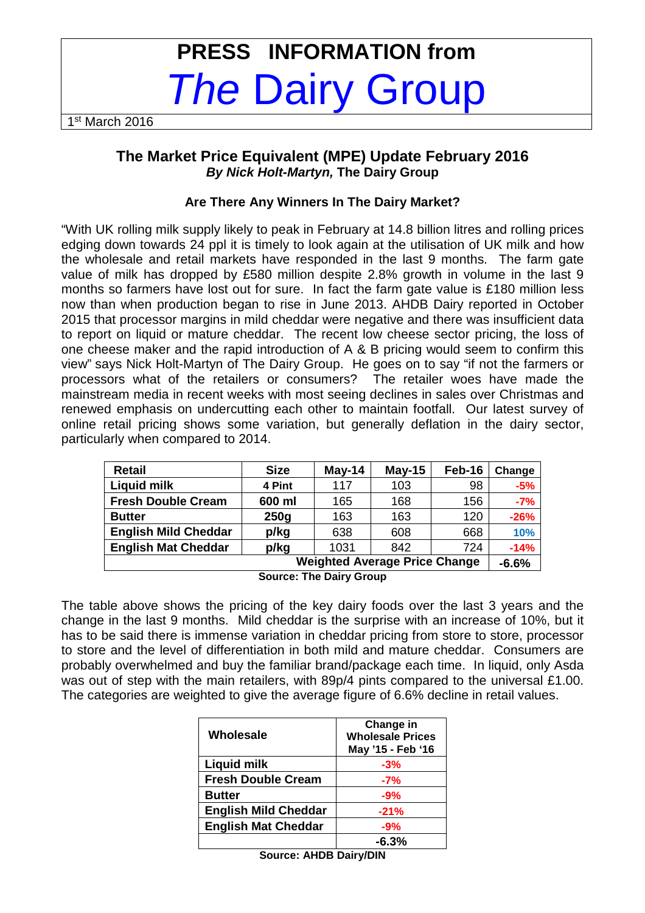# **PRESS INFORMATION from The Dairy Group**

1 st March 2016

## **The Market Price Equivalent (MPE) Update February 2016 By Nick Holt-Martyn, The Dairy Group**

## **Are There Any Winners In The Dairy Market?**

"With UK rolling milk supply likely to peak in February at 14.8 billion litres and rolling prices edging down towards 24 ppl it is timely to look again at the utilisation of UK milk and how the wholesale and retail markets have responded in the last 9 months. The farm gate value of milk has dropped by £580 million despite 2.8% growth in volume in the last 9 months so farmers have lost out for sure. In fact the farm gate value is £180 million less now than when production began to rise in June 2013. AHDB Dairy reported in October 2015 that processor margins in mild cheddar were negative and there was insufficient data to report on liquid or mature cheddar. The recent low cheese sector pricing, the loss of one cheese maker and the rapid introduction of A & B pricing would seem to confirm this view" says Nick Holt-Martyn of The Dairy Group. He goes on to say "if not the farmers or processors what of the retailers or consumers? The retailer woes have made the mainstream media in recent weeks with most seeing declines in sales over Christmas and renewed emphasis on undercutting each other to maintain footfall. Our latest survey of online retail pricing shows some variation, but generally deflation in the dairy sector, particularly when compared to 2014.

| <b>Retail</b>               | <b>Size</b>                          | $May-14$ | $May-15$ | Feb-16 | Change |  |
|-----------------------------|--------------------------------------|----------|----------|--------|--------|--|
| <b>Liquid milk</b>          | 4 Pint                               | 117      | 103      | 98     | $-5%$  |  |
| <b>Fresh Double Cream</b>   | 600 ml                               | 165      | 168      | 156    | $-7%$  |  |
| <b>Butter</b>               | 250 <sub>g</sub>                     | 163      | 163      | 120    | $-26%$ |  |
| <b>English Mild Cheddar</b> | p/kg                                 | 638      | 608      | 668    | 10%    |  |
| <b>English Mat Cheddar</b>  | p/kg                                 | 1031     | 842      | 724    | $-14%$ |  |
|                             | <b>Weighted Average Price Change</b> |          |          |        |        |  |

**Source: The Dairy Group** 

The table above shows the pricing of the key dairy foods over the last 3 years and the change in the last 9 months. Mild cheddar is the surprise with an increase of 10%, but it has to be said there is immense variation in cheddar pricing from store to store, processor to store and the level of differentiation in both mild and mature cheddar. Consumers are probably overwhelmed and buy the familiar brand/package each time. In liquid, only Asda was out of step with the main retailers, with 89p/4 pints compared to the universal £1.00. The categories are weighted to give the average figure of 6.6% decline in retail values.

| Wholesale                   | Change in<br><b>Wholesale Prices</b><br>May '15 - Feb '16 |
|-----------------------------|-----------------------------------------------------------|
| Liquid milk                 | $-3%$                                                     |
| <b>Fresh Double Cream</b>   | $-7%$                                                     |
| <b>Butter</b>               | $-9%$                                                     |
| <b>English Mild Cheddar</b> | $-21%$                                                    |
| <b>English Mat Cheddar</b>  | $-9%$                                                     |
|                             | $-6.3%$                                                   |

| <b>Source: AHDB Dairy/DIN</b> |  |  |
|-------------------------------|--|--|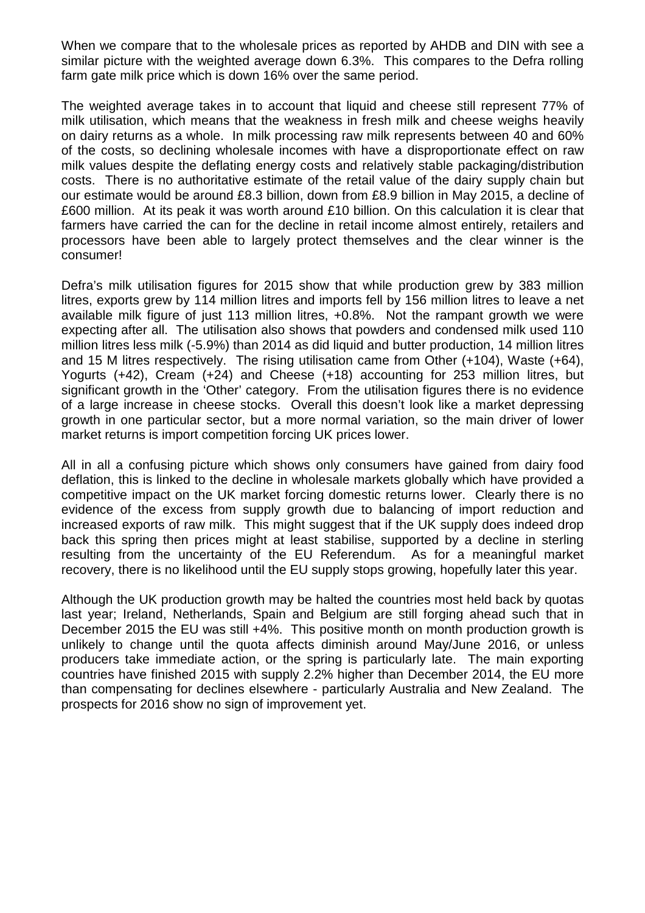When we compare that to the wholesale prices as reported by AHDB and DIN with see a similar picture with the weighted average down 6.3%. This compares to the Defra rolling farm gate milk price which is down 16% over the same period.

The weighted average takes in to account that liquid and cheese still represent 77% of milk utilisation, which means that the weakness in fresh milk and cheese weighs heavily on dairy returns as a whole. In milk processing raw milk represents between 40 and 60% of the costs, so declining wholesale incomes with have a disproportionate effect on raw milk values despite the deflating energy costs and relatively stable packaging/distribution costs. There is no authoritative estimate of the retail value of the dairy supply chain but our estimate would be around £8.3 billion, down from £8.9 billion in May 2015, a decline of £600 million. At its peak it was worth around £10 billion. On this calculation it is clear that farmers have carried the can for the decline in retail income almost entirely, retailers and processors have been able to largely protect themselves and the clear winner is the consumer!

Defra's milk utilisation figures for 2015 show that while production grew by 383 million litres, exports grew by 114 million litres and imports fell by 156 million litres to leave a net available milk figure of just 113 million litres, +0.8%. Not the rampant growth we were expecting after all. The utilisation also shows that powders and condensed milk used 110 million litres less milk (-5.9%) than 2014 as did liquid and butter production, 14 million litres and 15 M litres respectively. The rising utilisation came from Other (+104), Waste (+64), Yogurts (+42), Cream (+24) and Cheese (+18) accounting for 253 million litres, but significant growth in the 'Other' category. From the utilisation figures there is no evidence of a large increase in cheese stocks. Overall this doesn't look like a market depressing growth in one particular sector, but a more normal variation, so the main driver of lower market returns is import competition forcing UK prices lower.

All in all a confusing picture which shows only consumers have gained from dairy food deflation, this is linked to the decline in wholesale markets globally which have provided a competitive impact on the UK market forcing domestic returns lower. Clearly there is no evidence of the excess from supply growth due to balancing of import reduction and increased exports of raw milk. This might suggest that if the UK supply does indeed drop back this spring then prices might at least stabilise, supported by a decline in sterling resulting from the uncertainty of the EU Referendum. As for a meaningful market recovery, there is no likelihood until the EU supply stops growing, hopefully later this year.

Although the UK production growth may be halted the countries most held back by quotas last year; Ireland, Netherlands, Spain and Belgium are still forging ahead such that in December 2015 the EU was still +4%. This positive month on month production growth is unlikely to change until the quota affects diminish around May/June 2016, or unless producers take immediate action, or the spring is particularly late. The main exporting countries have finished 2015 with supply 2.2% higher than December 2014, the EU more than compensating for declines elsewhere - particularly Australia and New Zealand. The prospects for 2016 show no sign of improvement yet.